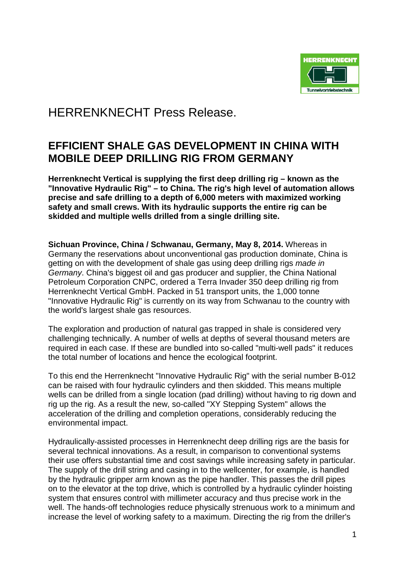

HERRENKNECHT Press Release.

## **EFFICIENT SHALE GAS DEVELOPMENT IN CHINA WITH MOBILE DEEP DRILLING RIG FROM GERMANY**

**Herrenknecht Vertical is supplying the first deep drilling rig – known as the "Innovative Hydraulic Rig" – to China. The rig's high level of automation allows precise and safe drilling to a depth of 6,000 meters with maximized working safety and small crews. With its hydraulic supports the entire rig can be skidded and multiple wells drilled from a single drilling site.**

**Sichuan Province, China / Schwanau, Germany, May 8, 2014.** Whereas in Germany the reservations about unconventional gas production dominate, China is getting on with the development of shale gas using deep drilling rigs *made in Germany*. China's biggest oil and gas producer and supplier, the China National Petroleum Corporation CNPC, ordered a Terra Invader 350 deep drilling rig from Herrenknecht Vertical GmbH. Packed in 51 transport units, the 1,000 tonne "Innovative Hydraulic Rig" is currently on its way from Schwanau to the country with the world's largest shale gas resources.

The exploration and production of natural gas trapped in shale is considered very challenging technically. A number of wells at depths of several thousand meters are required in each case. If these are bundled into so-called "multi-well pads" it reduces the total number of locations and hence the ecological footprint.

To this end the Herrenknecht "Innovative Hydraulic Rig" with the serial number B-012 can be raised with four hydraulic cylinders and then skidded. This means multiple wells can be drilled from a single location (pad drilling) without having to rig down and rig up the rig. As a result the new, so-called "XY Stepping System" allows the acceleration of the drilling and completion operations, considerably reducing the environmental impact.

Hydraulically-assisted processes in Herrenknecht deep drilling rigs are the basis for several technical innovations. As a result, in comparison to conventional systems their use offers substantial time and cost savings while increasing safety in particular. The supply of the drill string and casing in to the wellcenter, for example, is handled by the hydraulic gripper arm known as the pipe handler. This passes the drill pipes on to the elevator at the top drive, which is controlled by a hydraulic cylinder hoisting system that ensures control with millimeter accuracy and thus precise work in the well. The hands-off technologies reduce physically strenuous work to a minimum and increase the level of working safety to a maximum. Directing the rig from the driller's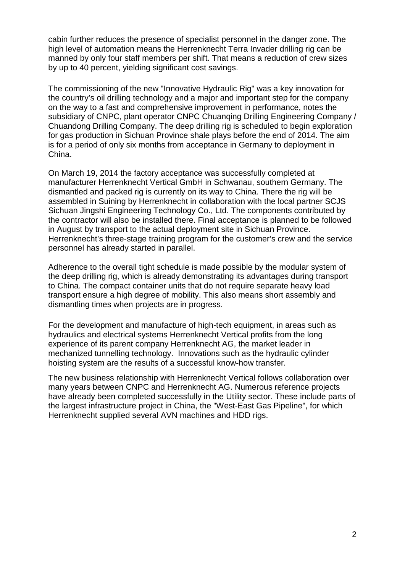cabin further reduces the presence of specialist personnel in the danger zone. The high level of automation means the Herrenknecht Terra Invader drilling rig can be manned by only four staff members per shift. That means a reduction of crew sizes by up to 40 percent, yielding significant cost savings.

The commissioning of the new "Innovative Hydraulic Rig" was a key innovation for the country's oil drilling technology and a major and important step for the company on the way to a fast and comprehensive improvement in performance, notes the subsidiary of CNPC, plant operator CNPC Chuanqing Drilling Engineering Company / Chuandong Drilling Company. The deep drilling rig is scheduled to begin exploration for gas production in Sichuan Province shale plays before the end of 2014. The aim is for a period of only six months from acceptance in Germany to deployment in China.

On March 19, 2014 the factory acceptance was successfully completed at manufacturer Herrenknecht Vertical GmbH in Schwanau, southern Germany. The dismantled and packed rig is currently on its way to China. There the rig will be assembled in Suining by Herrenknecht in collaboration with the local partner SCJS Sichuan Jingshi Engineering Technology Co., Ltd. The components contributed by the contractor will also be installed there. Final acceptance is planned to be followed in August by transport to the actual deployment site in Sichuan Province. Herrenknecht's three-stage training program for the customer's crew and the service personnel has already started in parallel.

Adherence to the overall tight schedule is made possible by the modular system of the deep drilling rig, which is already demonstrating its advantages during transport to China. The compact container units that do not require separate heavy load transport ensure a high degree of mobility. This also means short assembly and dismantling times when projects are in progress.

For the development and manufacture of high-tech equipment, in areas such as hydraulics and electrical systems Herrenknecht Vertical profits from the long experience of its parent company Herrenknecht AG, the market leader in mechanized tunnelling technology. Innovations such as the hydraulic cylinder hoisting system are the results of a successful know-how transfer.

The new business relationship with Herrenknecht Vertical follows collaboration over many years between CNPC and Herrenknecht AG. Numerous reference projects have already been completed successfully in the Utility sector. These include parts of the largest infrastructure project in China, the "West-East Gas Pipeline", for which Herrenknecht supplied several AVN machines and HDD rigs.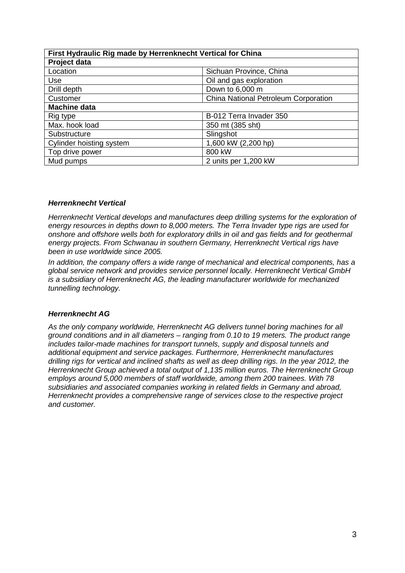| First Hydraulic Rig made by Herrenknecht Vertical for China |                                      |
|-------------------------------------------------------------|--------------------------------------|
| Project data                                                |                                      |
| Location                                                    | Sichuan Province, China              |
| Use                                                         | Oil and gas exploration              |
| Drill depth                                                 | Down to 6,000 m                      |
| Customer                                                    | China National Petroleum Corporation |
| <b>Machine data</b>                                         |                                      |
| Rig type                                                    | B-012 Terra Invader 350              |
| Max. hook load                                              | 350 mt (385 sht)                     |
| Substructure                                                | Slingshot                            |
| Cylinder hoisting system                                    | 1,600 kW (2,200 hp)                  |
| Top drive power                                             | 800 kW                               |
| Mud pumps                                                   | 2 units per 1,200 kW                 |

## *Herrenknecht Vertical*

*Herrenknecht Vertical develops and manufactures deep drilling systems for the exploration of energy resources in depths down to 8,000 meters. The Terra Invader type rigs are used for onshore and offshore wells both for exploratory drills in oil and gas fields and for geothermal energy projects. From Schwanau in southern Germany, Herrenknecht Vertical rigs have been in use worldwide since 2005.*

*In addition, the company offers a wide range of mechanical and electrical components, has a global service network and provides service personnel locally. Herrenknecht Vertical GmbH is a subsidiary of [Herrenknecht AG,](http://www.herrenknecht.de/) the leading manufacturer worldwide for mechanized tunnelling technology.* 

## *Herrenknecht AG*

*As the only company worldwide, Herrenknecht AG delivers tunnel boring machines for all ground conditions and in all diameters – ranging from 0.10 to 19 meters. The product range*  includes tailor-made machines for transport tunnels, supply and disposal tunnels and *additional equipment and service packages. Furthermore, Herrenknecht manufactures drilling rigs for vertical and inclined shafts as well as deep drilling rigs. In the year 2012, the Herrenknecht Group achieved a total output of 1,135 million euros. The Herrenknecht Group employs around 5,000 members of staff worldwide, among them 200 trainees. With 78 subsidiaries and associated companies working in related fields in Germany and abroad, Herrenknecht provides a comprehensive range of services close to the respective project and customer.*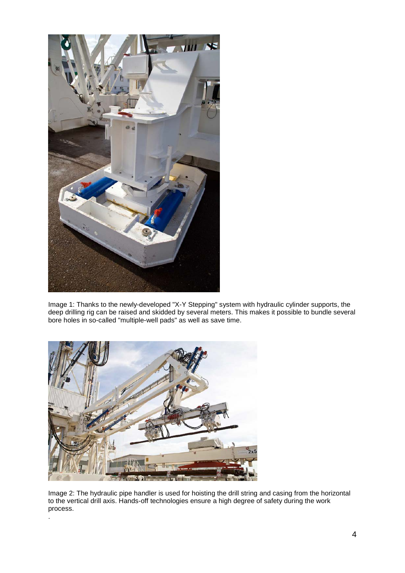

Image 1: Thanks to the newly-developed "X-Y Stepping" system with hydraulic cylinder supports, the deep drilling rig can be raised and skidded by several meters. This makes it possible to bundle several bore holes in so-called "multiple-well pads" as well as save time.



.

Image 2: The hydraulic pipe handler is used for hoisting the drill string and casing from the horizontal to the vertical drill axis. Hands-off technologies ensure a high degree of safety during the work process.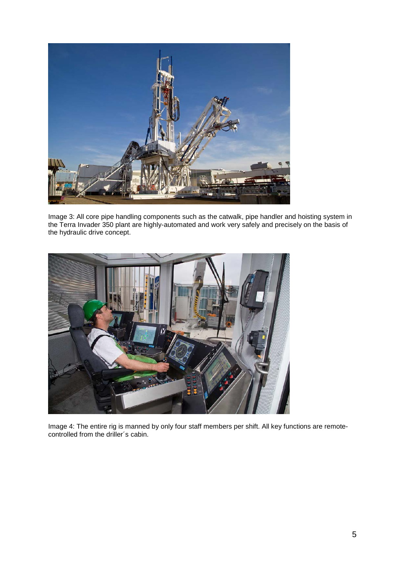

Image 3: All core pipe handling components such as the catwalk, pipe handler and hoisting system in the Terra Invader 350 plant are highly-automated and work very safely and precisely on the basis of the hydraulic drive concept.



Image 4: The entire rig is manned by only four staff members per shift. All key functions are remotecontrolled from the driller´s cabin.